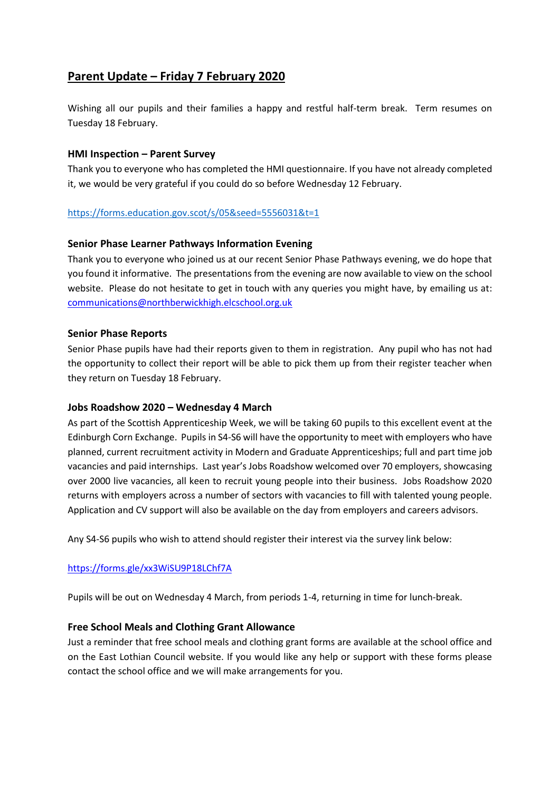# **Parent Update – Friday 7 February 2020**

Wishing all our pupils and their families a happy and restful half-term break. Term resumes on Tuesday 18 February.

## **HMI Inspection – Parent Survey**

Thank you to everyone who has completed the HMI questionnaire. If you have not already completed it, we would be very grateful if you could do so before Wednesday 12 February.

## <https://forms.education.gov.scot/s/05&seed=5556031&t=1>

## **Senior Phase Learner Pathways Information Evening**

Thank you to everyone who joined us at our recent Senior Phase Pathways evening, we do hope that you found it informative. The presentations from the evening are now available to view on the school website. Please do not hesitate to get in touch with any queries you might have, by emailing us at: [communications@northberwickhigh.elcschool.org.uk](mailto:communications@northberwickhigh.elcschool.org.uk)

### **Senior Phase Reports**

Senior Phase pupils have had their reports given to them in registration. Any pupil who has not had the opportunity to collect their report will be able to pick them up from their register teacher when they return on Tuesday 18 February.

### **Jobs Roadshow 2020 – Wednesday 4 March**

As part of the Scottish Apprenticeship Week, we will be taking 60 pupils to this excellent event at the Edinburgh Corn Exchange. Pupils in S4-S6 will have the opportunity to meet with employers who have planned, current recruitment activity in Modern and Graduate Apprenticeships; full and part time job vacancies and paid internships. Last year's Jobs Roadshow welcomed over 70 employers, showcasing over 2000 live vacancies, all keen to recruit young people into their business. Jobs Roadshow 2020 returns with employers across a number of sectors with vacancies to fill with talented young people. Application and CV support will also be available on the day from employers and careers advisors.

Any S4-S6 pupils who wish to attend should register their interest via the survey link below:

### <https://forms.gle/xx3WiSU9P18LChf7A>

Pupils will be out on Wednesday 4 March, from periods 1-4, returning in time for lunch-break.

### **Free School Meals and Clothing Grant Allowance**

Just a reminder that free school meals and clothing grant forms are available at the school office and on the East Lothian Council website. If you would like any help or support with these forms please contact the school office and we will make arrangements for you.